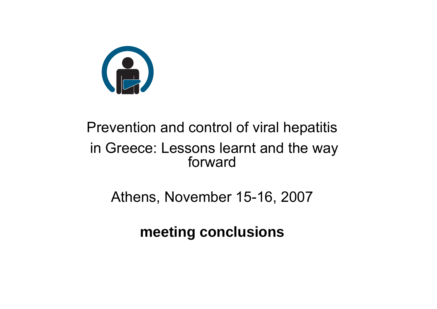

#### Prevention and control of viral hepatitis in Greece: Lessons learnt and the way forward

Athens, November 15-16, 2007

**meeting conclusions**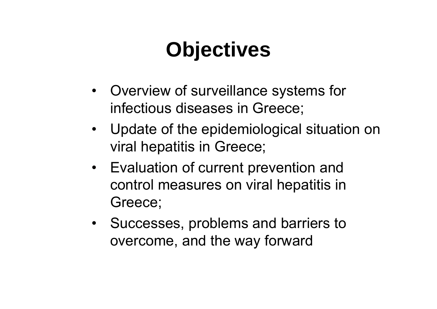## **Objectives**

- Overview of surveillance systems for infectious diseases in Greece;
- Update of the epidemiological situation on viral hepatitis in Greece;
- Evaluation of current prevention and control measures on viral hepatitis in Greece;
- Successes, problems and barriers to overcome, and the way forward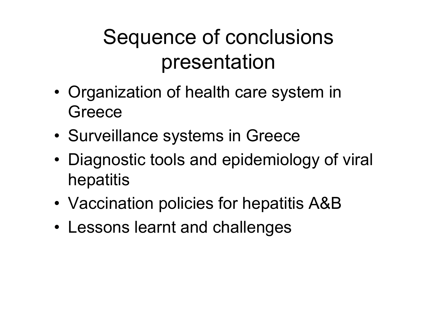## Sequence of conclusions presentation

- •• Organization of health care system in **Greece**
- •Surveillance systems in Greece
- • Diagnostic tools and epidemiology of viral hepatitis
- •Vaccination policies for hepatitis A&B
- Lessons learnt and challenges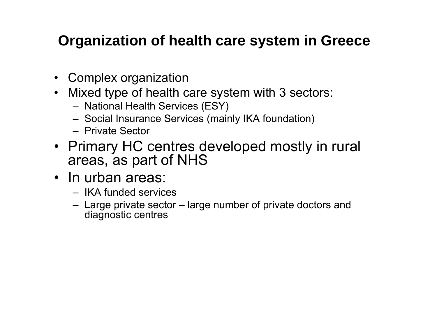#### **Organization of health care system in Greece**

- Complex organization
- Mixed type of health care system with 3 sectors:
	- National Health Services (ESY)
	- Social Insurance Services (mainly IKA foundation)
	- Private Sector
- Primary HC centres developed mostly in rural areas, as part of NHS
- In urban areas:
	- IKA funded services
	- Large private sector large number of private doctors and diagnostic centres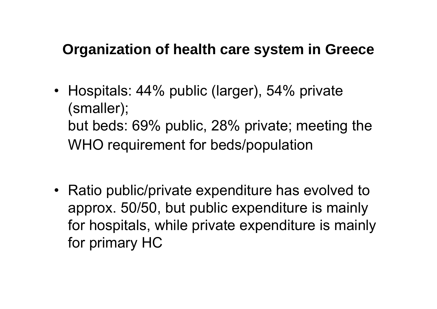#### **Organization of health care system in Greece**

• Hospitals: 44% public (larger), 54% private (smaller); but beds: 69% public, 28% private; meeting the WHO requirement for beds/population

• Ratio public/private expenditure has evolved to approx. 50/50, but public expenditure is mainly for hospitals, while private expenditure is mainly for primary HC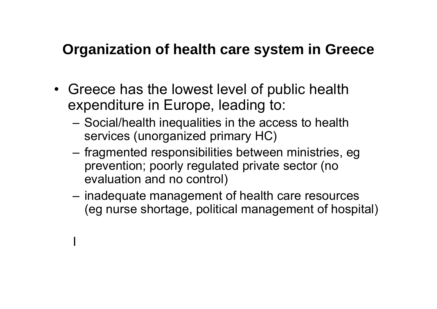#### **Organization of health care system in Greece**

• Greece has the lowest level of public health expenditure in Europe, leading to:

**International Contract Contract Contract Contract Contract Contract Contract Contract Contract Contract Contra** 

- – Social/health inequalities in the access to health services (unorganized primary HC)
- fragmented responsibilities between ministries, eg prevention; poorly regulated private sector (no evaluation and no control)
- $-$  inadequate management of health care resources (eg nurse shortage, political management of hospital)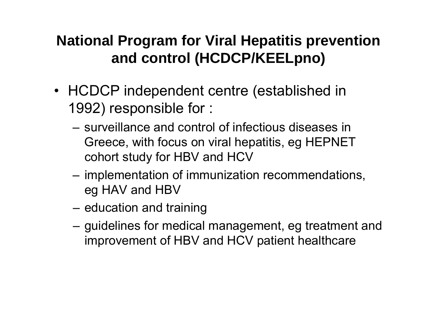#### **National Program for Viral Hepatitis prevention and control (HCDCP/KEELpno)**

- HCDCP independent centre (established in 1992) responsible for :
	- surveillance and control of infectious diseases in Greece, with focus on viral hepatitis, eg HEPNET cohort study for HBV and HCV
	- implementation of immunization recommendations, eg HAV and HBV
	- – $-$  education and training
	- – $-$  guidelines for medical management, eg treatment and improvement of HBV and HCV patient healthcare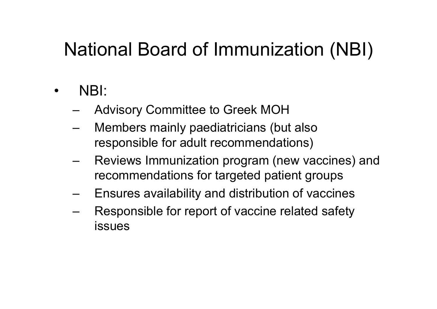#### National Board of Immunization (NBI)

- • NBI:
	- Advisory Committee to Greek MOH
	- Members mainly paediatricians (but also responsible for adult recommendations)
	- Reviews Immunization program (new vaccines) and recommendations for targeted patient groups
	- –Ensures availability and distribution of vaccines
	- – Responsible for report of vaccine related safety issues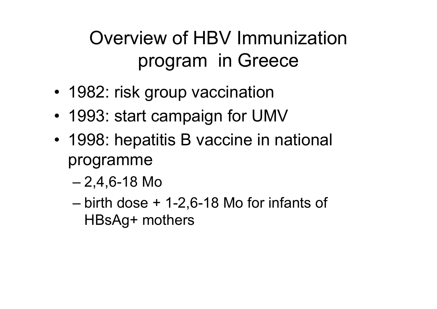#### Overview of HBV Immunization program in Greece

- 1982: risk group vaccination
- •1993: start campaign for UMV
- 1998: hepatitis B vaccine in national programme
	- 2,4,6-18 Mo
	- birth dose + 1-2,6-18 Mo for infants of HBsAg+ mothers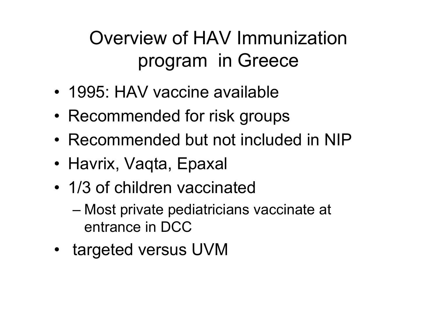#### Overview of HAV Immunization program in Greece

- 1995: HAV vaccine available
- •Recommended for risk groups
- Recommended but not included in NIP
- Havrix, Vaqta, Epaxal
- 1/3 of children vaccinated
	- Most private pediatricians vaccinate at entrance in DCC
- targeted versus UVM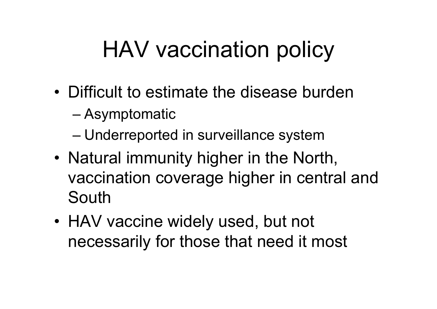# HAV vaccination policy

- Difficult to estimate the disease burden
	- Asymptomatic
	- Underreported in surveillance system
- Natural immunity higher in the North, vaccination coverage higher in central and South
- HAV vaccine widely used, but not necessarily for those that need it most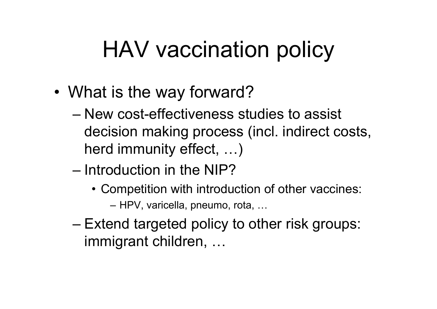# HAV vaccination policy

- • What is the way forward?
	- New cost-effectiveness studies to assist decision making process (incl. indirect costs, herd immunity effect, …)
	- Introduction in the NIP?
		- Competition with introduction of other vaccines: HPV, varicella, pneumo, rota, …
	- Extend targeted policy to other risk groups: immigrant children, …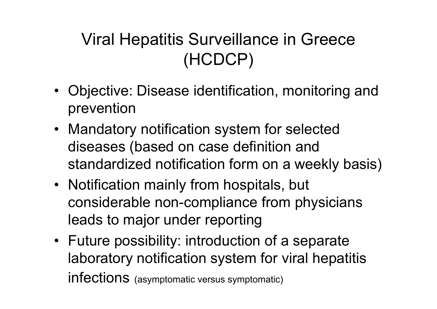#### Viral Hepatitis Surveillance in Greece (HCDCP)

- Objective: Disease identification, monitoring and prevention
- Mandatory notification system for selected diseases (based on case definition and standardized notification form on a weekly basis)
- Notification mainly from hospitals, but considerable non-compliance from physicians leads to major under reporting
- Future possibility: introduction of a separate laboratory notification system for viral hepatitis infections (asymptomatic versus symptomatic)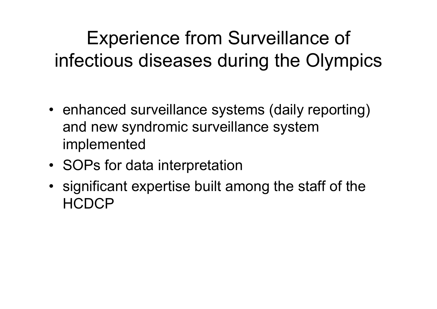Experience from Surveillance of infectious diseases during the Olympics

- enhanced surveillance systems (daily reporting) and new syndromic surveillance system implemented
- SOPs for data interpretation
- significant expertise built among the staff of the **HCDCP**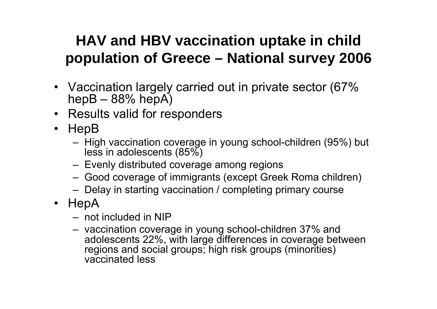#### **HAV and HBV vaccination uptake in child population of Greece – National survey 2006**

- Vaccination largely carried out in private sector (67% hepB –88% hepA)
- Results valid for responders
- HepB
	- High vaccination coverage in young school-children (95%) but less in adolescents (85%)
	- Evenly distributed coverage among regions
	- Good coverage of immigrants (except Greek Roma children)
	- Delay in starting vaccination / completing primary course
- HepA
	- not included in NIP
	- vaccination coverage in young school-children 37% and adolescents 22%, with large differences in coverage between regions and social groups; high risk groups (minorities) vaccinated less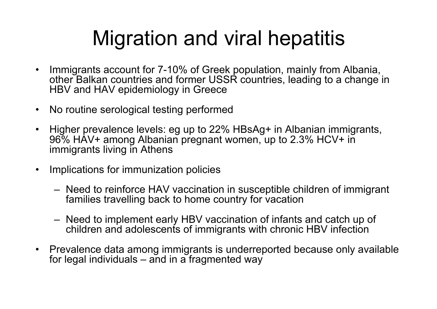### Migration and viral hepatitis

- Immigrants account for 7-10% of Greek population, mainly from Albania, other Balkan countries and former USSR countries, leading to a change in HBV and HAV epidemiology in Greece
- •No routine serological testing performed
- $\bullet$  Higher prevalence levels: eg up to 22% HBsAg+ in Albanian immigrants, 96% HAV+ among Albanian pregnant women, up to 2.3% HCV+ in immigrants living in Athens
- • Implications for immunization policies
	- Need to reinforce HAV vaccination in susceptible children of immigrant families travelling back to home country for vacation
	- Need to implement early HBV vaccination of infants and catch up of children and adolescents of immigrants with chronic HBV infection
- Prevalence data among immigrants is underreported because only available for legal individuals – and in a fragmented way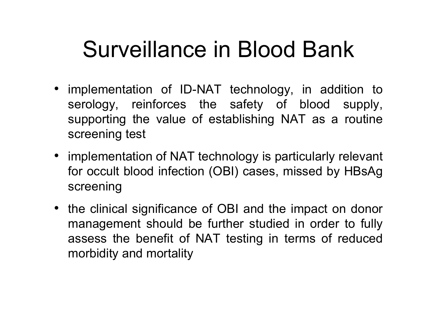## Surveillance in Blood Bank

- implementation of ID-ΝΑΤ technology, in addition to serology, reinforces the safety of blood supply, supporting the value of establishing NAT as a routine screening test
- implementation of NAT technology is particularly relevant for occult blood infection (OBI) cases, missed by HBsAg screening
- the clinical significance of OBI and the impact on donor management should be further studied in order to fully assess the benefit of NAT testing in terms of reduced morbidity and mortality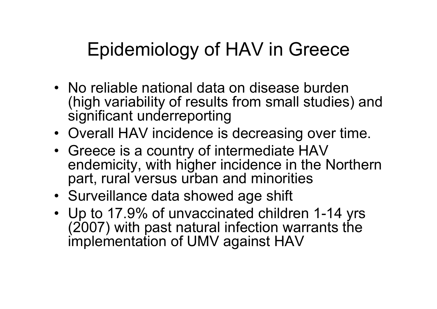#### Epidemiology of HAV in Greece

- No reliable national data on disease burden (high variability of results from small studies) and significant underreporting
- Overall HAV incidence is decreasing over time.
- Greece is a country of intermediate HAV endemicity, with higher incidence in the Northern part, rural versus urban and minorities
- Surveillance data showed age shift
- Up to 17.9% of unvaccinated children 1-14 yrs (2007) with past natural infection warrants the implementation of UMV against HAV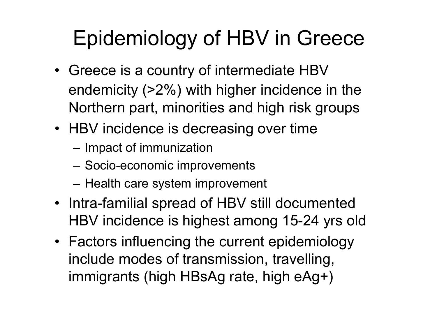## Epidemiology of HBV in Greece

- Greece is a country of intermediate HBV endemicity (>2%) with higher incidence in the Northern part, minorities and high risk groups
- HBV incidence is decreasing over time
	- – $-$  Impact of immunization
	- –Socio-economic improvements
	- –– Health care system improvement
- Intra-familial spread of HBV still documented HBV incidence is highest among 15-24 yrs old
- Factors influencing the current epidemiology include modes of transmission, travelling, immigrants (high HBsAg rate, high eAg+)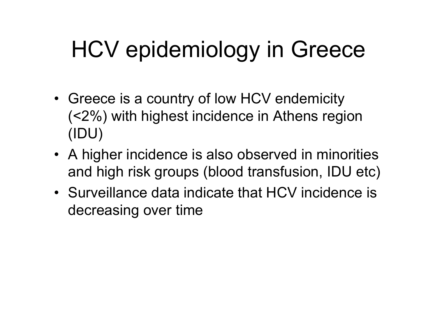# HCV epidemiology in Greece

- Greece is a country of low HCV endemicity (<2%) with highest incidence in Athens region (IDU)
- A higher incidence is also observed in minorities and high risk groups (blood transfusion, IDU etc)
- Surveillance data indicate that HCV incidence is decreasing over time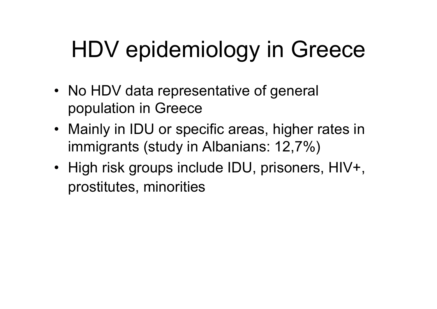# HDV epidemiology in Greece

- No HDV data representative of general population in Greece
- Mainly in IDU or specific areas, higher rates in immigrants (study in Albanians: 12,7%)
- High risk groups include IDU, prisoners, HIV+, prostitutes, minorities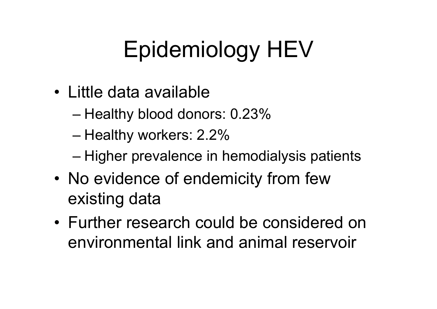# Epidemiology HEV

- Little data available
	- $-$  Healthy blood donors: 0.23%  $\,$
	- Healthy workers: 2.2%  $\,$
	- Higher prevalence in hemodialysis patients
- •• No evidence of endemicity from few existing data
- Further research could be considered on environmental link and animal reservoir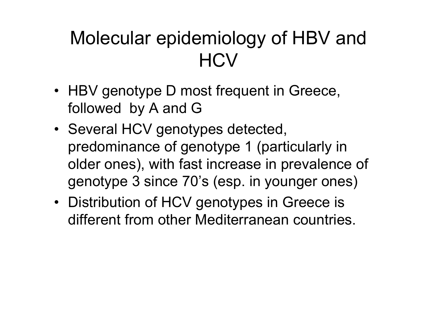#### Molecular epidemiology of HBV and **HCV**

- HBV genotype D most frequent in Greece, followed by A and G
- Several HCV genotypes detected, predominance of genotype 1 (particularly in older ones), with fast increase in prevalence of genotype 3 since 70's (esp. in younger ones)
- Distribution of HCV genotypes in Greece is different from other Mediterranean countries.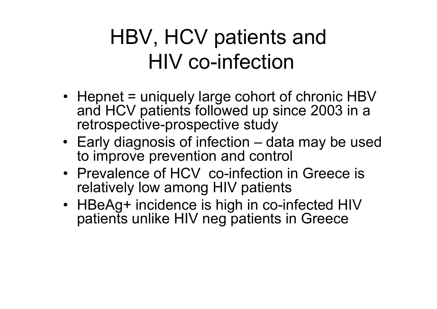### HBV, HCV patients and HIV co-infection

- Hepnet = uniquely large cohort of chronic HBV and HCV patients followed up since 2003 in a retrospective-prospective study
- Early diagnosis of infection data may be used to improve prevention and control
- Prevalence of HCV co-infection in Greece is relatively low among HIV patients
- HBeAg+ incidence is high in co-infected HIV patients unlike HIV neg patients in Greece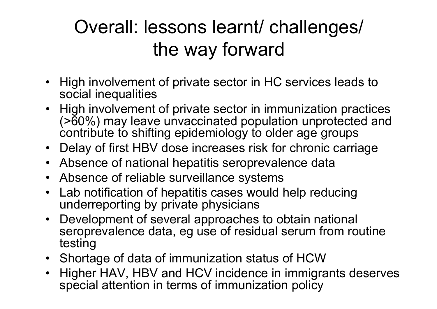#### Overall: lessons learnt/ challenges/ the way forward

- High involvement of private sector in HC services leads to social inequalities
- High involvement of private sector in immunization practices (>60%) may leave unvaccinated population unprotected and contribute to shifting epidemiology to older age groups
- Delay of first HBV dose increases risk for chronic carriage
- Absence of national hepatitis seroprevalence data
- Absence of reliable surveillance systems
- • Lab notification of hepatitis cases would help reducing underreporting by private physicians
- Development of several approaches to obtain national seroprevalence data, eg use of residual serum from routine testing
- Shortage of data of immunization status of HCW
- • Higher HAV, HBV and HCV incidence in immigrants deserves special attention in terms of immunization policy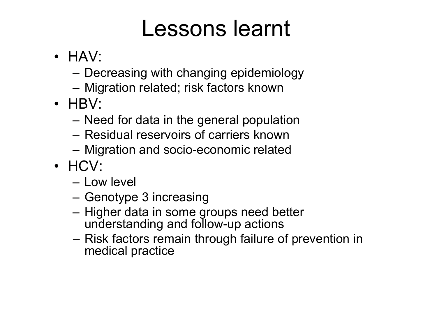## Lessons learnt

- HAV:
	- –Decreasing with changing epidemiology
	- Migration related; risk factors known
- HBV:
	- Need for data in the general population
	- Residual reservoirs of carriers known
	- Migration and socio-economic related
- HCV:
	- Low level
	- Genotype 3 increasing
	- –– Higher data in some groups need better understanding and follow-up actions
	- –– Risk factors remain through failure of prevention in medical practice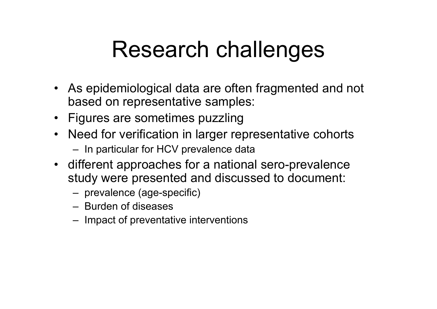## Research challenges

- As epidemiological data are often fragmented and not based on representative samples:
- Figures are sometimes puzzling
- Need for verification in larger representative cohorts  $-$  In particular for HCV prevalence data
- different approaches for a national sero-prevalence study were presented and discussed to document:
	- prevalence (age-specific)
	- Burden of diseases
	- $-$  Impact of preventative interventions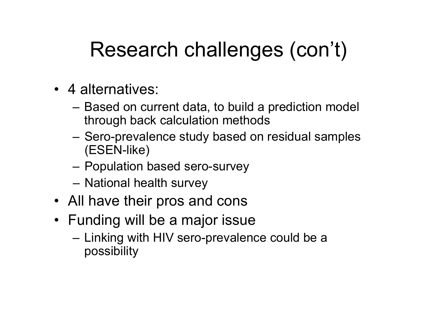## Research challenges (con't)

- 4 alternatives:
	- Based on current data, to build a prediction model through back calculation methods
	- Sero-prevalence study based on residual samples (ESEN-like)
	- –Population based sero-survey
	- –– National health survey
- All have their pros and cons
- Funding will be a major issue
	- – $-$  Linking with HIV sero-prevalence could be a possibility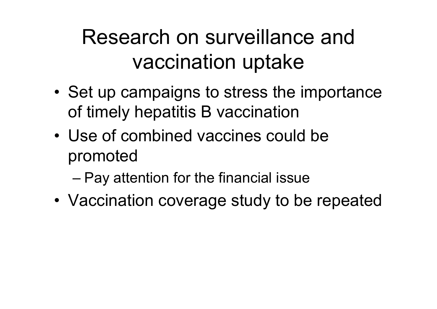### Research on surveillance and vaccination uptake

- •• Set up campaigns to stress the importance of timely hepatitis B vaccination
- Use of combined vaccines could be promoted

– Pay attention for the financial issue

• Vaccination coverage study to be repeated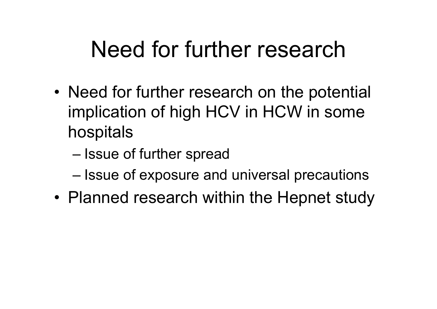## Need for further research

- •• Need for further research on the potential implication of high HCV in HCW in some hospitals
	- Issue of further spread
	- $-$  Issue of exposure and universal precautions
- Planned research within the Hepnet study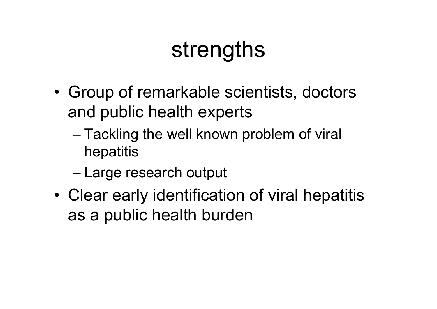## strengths

- • Group of remarkable scientists, doctors and public health experts
	- Tackling the well known problem of viral hepatitis
	- Large research output
- • Clear early identification of viral hepatitis as a public health burden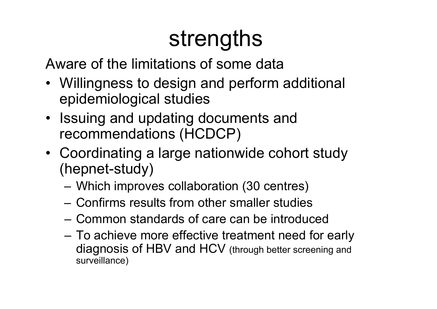# strengths

Aware of the limitations of some data

- Willingness to design and perform additional epidemiological studies
- Issuing and updating documents and recommendations (HCDCP)
- Coordinating a large nationwide cohort study (hepnet-study)
	- Which improves collaboration (30 centres)
	- Confirms results from other smaller studies
	- Common standards of care can be introduced
	- – To achieve more effective treatment need for early diagnosis of HBV and HCV (through better screening and surveillance)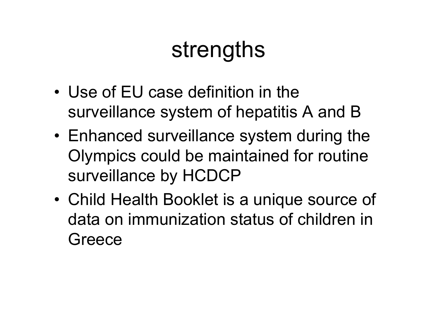## strengths

- Use of EU case definition in the surveillance system of hepatitis A and B
- Enhanced surveillance system during the Olympics could be maintained for routine surveillance by HCDCP
- • Child Health Booklet is a unique source of data on immunization status of children in **Greece**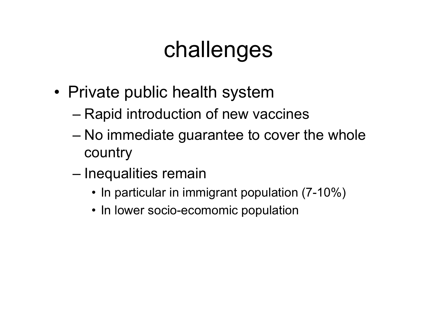## challenges

- Private public health system
	- Rapid introduction of new vaccines
	- No immediate guarantee to cover the whole country
	- Inequalities remain
		- In particular in immigrant population (7-10%)
		- In lower socio-ecomomic population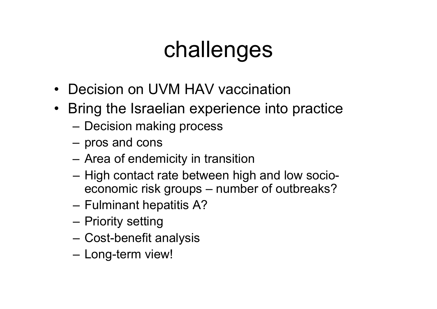# challenges

- Decision on UVM HAV vaccination
- Bring the Israelian experience into practice
	- –– Decision making process
	- $-$  pros and cons
	- Area of endemicity in transition
	- –– High contact rate between high and low socioeconomic risk groups – number of outbreaks?
	- – $-$  Fulminant hepatitis A?
	- –– Priority setting
	- –Cost-benefit analysis
	- –– Long-term view!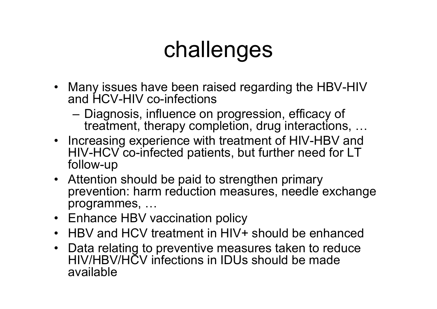## challenges

- Many issues have been raised regarding the HBV-HIV and HCV-HIV co-infections
	- Diagnosis, influence on progression, efficacy of treatment, therapy completion, drug interactions, …
- Increasing experience with treatment of HIV-HBV and HIV-HCV co-infected patients, but further need for LT follow-up
- Attention should be paid to strengthen primary prevention: harm reduction measures, needle exchange programmes, …
- Enhance HBV vaccination policy
- HBV and HCV treatment in HIV+ should be enhanced
- Data relating to preventive measures taken to reduce HIV/HBV/HCV infections in IDUs should be made available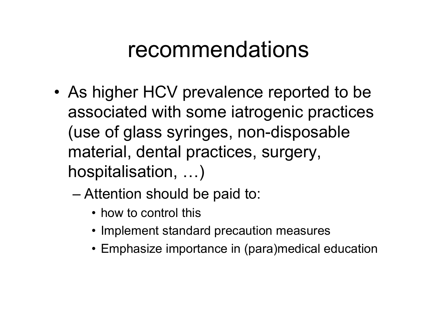### recommendations

- • As higher HCV prevalence reported to be associated with some iatrogenic practices (use of glass syringes, non-disposable material, dental practices, surgery, hospitalisation, …)
	- Attention should be paid to:
		- how to control this
		- Implement standard precaution measures
		- Emphasize importance in (para)medical education